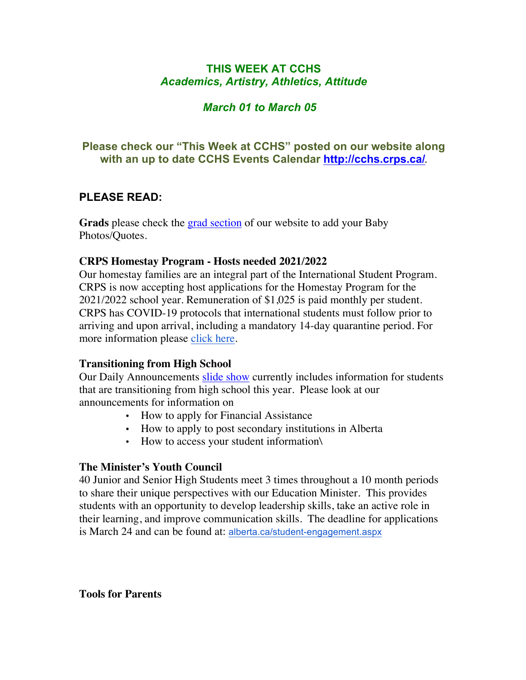# **THIS WEEK AT CCHS** *Academics, Artistry, Athletics, Attitude*

# *March 01 to March 05*

# **Please check our "This Week at CCHS" posted on our website along with an up to date CCHS Events Calendar<http://cchs.crps.ca/>**.

# **PLEASE READ:**

**Grads** please check the [grad section](https://cchs.crps.ca/view.php?action=object&id=555&stream=Announcements) of our website to add your Baby Photos/Quotes.

#### **CRPS Homestay Program - Hosts needed 2021/2022**

Our homestay families are an integral part of the International Student Program. CRPS is now accepting host applications for the Homestay Program for the 2021/2022 school year. Remuneration of \$1,025 is paid monthly per student. CRPS has COVID-19 protocols that international students must follow prior to arriving and upon arrival, including a mandatory 14-day quarantine period. For more information please [click here](https://crps.ca/Homestay Program.php).

## **Transitioning from High School**

Our Daily Announcements [slide show](https://docs.google.com/presentation/d/1eKIacynJnXoiOT2vNIyyWorRDtkcVp_c5pX052OGIN8/edit?usp=sharing) currently includes information for students that are transitioning from high school this year. Please look at our announcements for information on

- How to apply for Financial Assistance
- How to apply to post secondary institutions in Alberta
- How to access your student information\

## **The Minister's Youth Council**

40 Junior and Senior High Students meet 3 times throughout a 10 month periods to share their unique perspectives with our Education Minister. This provides students with an opportunity to develop leadership skills, take an active role in their learning, and improve communication skills. The deadline for applications is March 24 and can be found at: [alberta.ca/student-engagement.aspx](https://www.alberta.ca/student-engagement.aspx)

**Tools for Parents**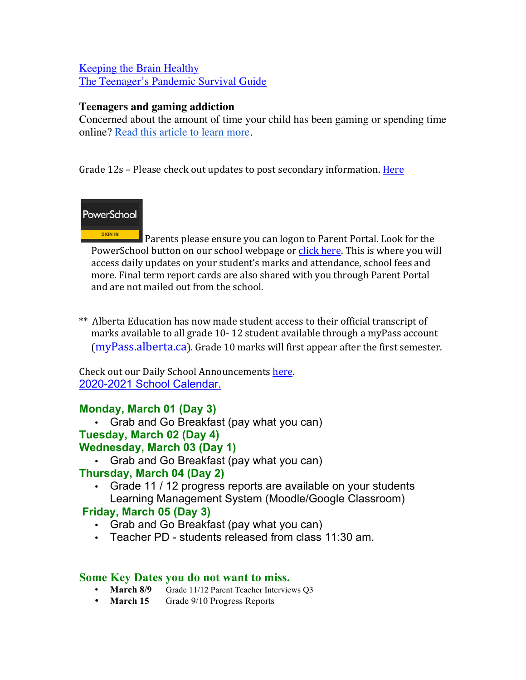## [Keeping the Brain Healthy](https://cchs.crps.ca/documents/general/keeping the brain healthy_1.jpg) [The Teenager's Pandemic Survival Guide](https://cchs.crps.ca/documents/general/The Teenagers Pandemic Survival Guide_1.jpg)

## **Teenagers and gaming addiction**

Concerned about the amount of time your child has been gaming or spending time online? [Read this article to learn more](https://docs.google.com/document/d/1Ox97B7KI-nSHRxPBq-b_8SErmtiuX6sM1NCVODxmpk8/edit?usp=sharing).

Grade 12s – Please check out updates to post secondary information. Here

# PowerSchool

SIGN IN Parents please ensure you can logon to Parent Portal. Look for the PowerSchool button on our school webpage or click here. This is where you will access daily updates on your student's marks and attendance, school fees and more. Final term report cards are also shared with you through Parent Portal and are not mailed out from the school.

\*\* Alberta Education has now made student access to their official transcript of marks available to all grade 10-12 student available through a myPass account [\(myPass.alberta.ca](https://public.education.alberta.ca/PASI/myPass)). Grade 10 marks will first appear after the first semester.

Check out our Daily School Announcements here. [2020-2021 School Calendar.](https://crps.ca/documents/general/Final 2020-2021 Learning Calendar.pdf)

# **Monday, March 01 (Day 3)**

• Grab and Go Breakfast (pay what you can)

# **Tuesday, March 02 (Day 4)**

## **Wednesday, March 03 (Day 1)**

• Grab and Go Breakfast (pay what you can)

# **Thursday, March 04 (Day 2)**

• Grade 11 / 12 progress reports are available on your students Learning Management System (Moodle/Google Classroom)

# **Friday, March 05 (Day 3)**

- Grab and Go Breakfast (pay what you can)
- Teacher PD students released from class 11:30 am.

## **Some Key Dates you do not want to miss.**

- **March 8/9** Grade 11/12 Parent Teacher Interviews Q3
- **March 15** Grade 9/10 Progress Reports